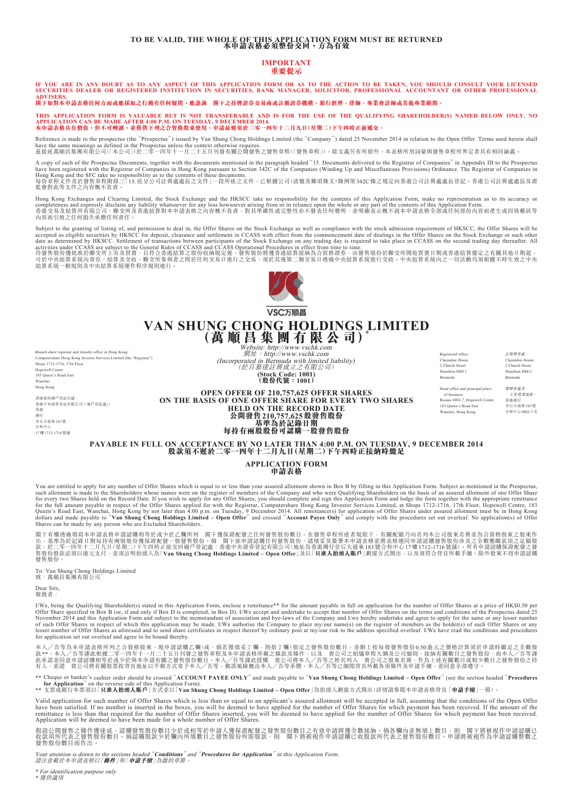## **TO BE VALID, THE WHOLE OF THIS APPLICATION FORM MUST BE RETURNED 本申請表格必須整份交回,方為有效**

## **IMPORTANT**

**重要提示**

**IF YOU ARE IN ANY DOUBT AS TO ANY ASPECT OF THIS APPLICATION FORM OR AS TO THE ACTION TO BE TAKEN, YOU SHOULD CONSULT YOUR LICENSED SECURITIES DEALER OR REGISTERED INSTITUTION IN SECURITIES, BANK MANAGER, SOLICITOR, PROFESSIONAL ACCOUNTANT OR OTHER PROFESSIONAL**  ADVISERS.<br>閣下如對本申請表格任何方面或應採取之行動有任何疑問,應諮詢 閣下之持牌證券交易商或註冊證券機構、銀行經理、律師、專業會計師或其他專業顧問。

THIS APPLICATION FORM IS VALUABLE BUT IS NOT TRANSFERABLE AND IS FOR THE USE OF THE QUALIFYING SHAREHOLDER(S) NAMED BELOW ONLY. NO<br>APPLICATION CAN BE MADE AFTER 4:00 P.M. ON TUESDAY, 9 DECEMBER 2014.<br>本申請表格其有價值,但不可轉識,並僅供下

Reference is made to the prospectus (the "Prospectus") issued by Van Shung Chong Holdings Limited (the "Company") dated 25 November 2014 in relation to the Open Offer. Terms used herein shall have the same meanings as defined in the Prospectus unless the context otherwise requires.<br>茲提述萬順昌集團有限公司(「本公司」)於二零一四年十一月二十五日刊發有關公開發售之發售章程(「發售章程」)。除文義另有所指外,本表格所用詞彙與發售章程所界定者具有相同涵義。

A copy of each of the Prospectus Documents, together with the documents mentioned in the paragraph headed "15. Documents delivered to the Registrar of Companies" in Appendix III to the Prospectus<br>Hong Kong and the Regist

Hong Kong Exchanges and Clearing Limited, the Stock Exchange and the HKSCC take no responsibility for the contents of this Application Form, make no representation as to its accuracy or<br>completeness and expressly disclaim 內容而引致之任何損失承擔任何責任。

Subject to the granting of listing of, and permission to deal in, the Offer Shares on the Stock Exchange as well as compliance with the stock admission requirement of HKSCC, the Offer Shares will be<br>accepted as eligible se

activities under CCASS are subject to the General Rules of CCASS and CCASS Operational Procedures in effect from time to time.<br>待發售股份獲批准於聯交所上市及買賣,且符合香港結算之股份收納規定後,發售股份將獲香港結算接納為合資格證券,由發售股份於聯交所開始買賣日期或香港結算釐定之有關其他日期起,<br>可於中央結算系統內



VSC万顺昌 **VAN SHUNG CHONG HOLDINGS LIMITED (萬 順 昌 集 團 有 限 公 司)**\*

Branch share registrar and transfer office in Hong Kong:<br>Computershare Hong Kong Investor Services Limited (the "Registrar") Computershare Hong Kong Investor Services Limited (the "Registrar") Shops 1712-1716, 17th Floor Hopewell Centre 183 Queen's Road East Wancha Hong Kong 香港股份過戶登記分處: 香港中央證券登記有限公司(「過戶登記處」) 香港

Website: http://www.vschk.com<br>綱址:http://www.vschk.com (Incorporated in Bermuda with limited liability) (於百慕達註冊成立之有限公司) **(Stock Code: 1001) (股份代號:1001)**

Clarendon House 2 Church Street

Registered office: 註冊辦事處: Clarendon House 2 Church Street

Hamilton HM11 Bermuda Head office and principal place of business: Rooms 4903-7, Hopewell Centre

183 Queen's Road East enai, Hong Kong

Hamilton HM11 Bermuda

總辦事處及 主要營業地點:

香港灣仔 皇后大道東183號 会和由心4903-7

**OPEN OFFER OF 210,757,625 OFFER SHARES ON THE BASIS OF ONE OFFER SHARE FOR EVERY TWO SHARES HELD ON THE RECORD DATE 公開發售210,757,625股發售股份 基準為於記錄日期**

### **每持有兩股股份可認購一股發售股份**

**PAYABLE IN FULL ON ACCEPTANCE BY NO LATER THAN 4:00 P.M. ON TUESDAY, 9 DECEMBER 2014 股款須不遲於二零一四年十二月九日(星期二)下午四時正接納時繳足**

#### **APPLICATION FORM 申請表格**

You are entitled to apply for any number of Offer Shares which is equal to or less than your assured allotment shown in Box B by filling in this Application Form. Subject as mentioned in the Prospectus, such allotment is made to the Shareholders whose names were on the register of members of the Company and who were Qualifying Shareholders on the basis of an assured allotment of one Offer Share<br>for every two Shares held o Shares can be made by any person who are Excluded Shareholders.

閣下有權透過填寫本申請表格申請認購相等於或少於乙欄所列 閣下獲保證配發之任何發售股份數目。在發售章程所述者規限下,有關配額乃向名列本公司股東名冊並為合資格股東之股東作<br>出,基準為於記錄日期每持有兩股股份獲保證配發一股發售股份。倘 閣下欲申請認購任何發售股份,請填妥及簽署本申請表格並將表格連同申請認購發售股份涉及之全數應繳款項之足額股<br>款,於二零一四年十二月九日(星期二)下午四時正前交回過戶登記處:香港中央證券登記有限公司(地址為香港灣仔皇 發售股份。

To: Van Shung Chong Holdings Limited 致:萬順昌集團有限公司\*

Dear Sirs, 敬啟者:

灣仔 皇后大道東183號 合和中心 17樓1712-1716號舖

I/We, being the Qualifying Shareholder(s) stated in this Application Form, enclose a remittance\*\* for the amount payable in full on application for the number of Offer Shares at a price of HK\$0.50 per Offer Share specified in Box B (or, if and only if Box D is completed, in Box D). I/We accept and undertake to accept that number of Offer Shares on the terms and conditions of the Prospectus dated 25 November 2014 and thi

本人╱吾等為本申請表格所列之合資格股東,現申請認購乙欄(或,倘若僅填妥丁欄,則指丁欄)指定之發售股份數目,並附上按每股發售股份0.50港元之價格計算須於申請時繳足之全數股 款\*\*。本人/吾等謹此根據二零一四年十一月二十五日刊發之發售章程及本申請表格所載之條款及條件,以及 貴公司之組織章程大綱及公司細則,接納有關數目之發售股份,而本人/吾等謹<br>此承諾並同意申請認購相等於或少於與本申請有關之發售股份數目。本人/吾等謹此授權 貴公司將本人/吾等之姓名列入 貴公司之股東名冊,作為上述有關數目之發對股少數目之發售股份之持<br>有人,並請 貴公司將有關股票按背頁地址以平郵方式寄予本人/吾等,郵誤風險概由本人/吾等承擔。本人

\*\* Cheque or banker's cashier order should be crossed "**ACCOUNT PAYEE ONLY**" and made payable to "**Van Shung Chong Holdings Limited – Open Offer**" (see the section headed "**Procedures for Application**" on the reverse side of this Application Form). \*\* 支票或銀行本票須以「**只准入抬頭人賬戶**」方式並以「**Van Shung Chong Holdings Limited – Open Offer**」為抬頭人劃線方式開出(詳情請參閱本申請表格背頁「**申請手續**」一節)。

Valid application for such number of Offer Shares which is less than or equal to an applicant's assured allotment will be accepted in full, assuming that the conditions of the Open Offer have been satisfied. If no number is inserted in the boxes, you will be deemed to have applied for the number of Offer Shares for which payment has been received. If the amount of the<br>remittance is less than that required

假設公開發售之條件獲達成,認購發售股份數目少於或相等於申請人獲保證配發之發售股份數目之有效申請將獲全數接納。倘各欄內並無填上數目,則 閣下將被視作申請認購已<br>收款項所代表之發售股份數目。倘認購股款少於欄內所填數目之發售股份所需股款,則 閣下將被視作申請認購已收股款所代表之發售股份數目。申請將被視作為申請認購整數之 發售股份數目而作出。

Your attention is drawn to the sections headed "**Conditions**" and "**Procedures for Application**" in this Application Form. 請注意載於本申請表格以「**條件**」和「**申請手續**」為題的章節。

\* For identification purpose only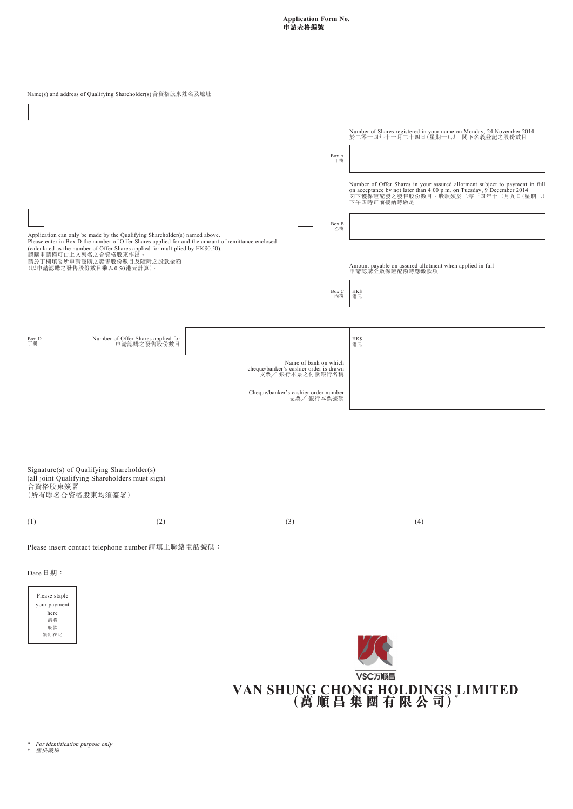**Application Form No. 申請表格編號**

| Name(s) and address of Qualifying Shareholder(s) 合資格股東姓名及地址                                                                                                                                                                                                                                                                                           |                                                                                    |                                                                                                                                                                                                           |  |
|-------------------------------------------------------------------------------------------------------------------------------------------------------------------------------------------------------------------------------------------------------------------------------------------------------------------------------------------------------|------------------------------------------------------------------------------------|-----------------------------------------------------------------------------------------------------------------------------------------------------------------------------------------------------------|--|
|                                                                                                                                                                                                                                                                                                                                                       | Box A<br>甲欄                                                                        | Number of Shares registered in your name on Monday, 24 November 2014<br>於二零一四年十一月二十四日(星期一)以 閣下名義登記之股份數目                                                                                                   |  |
| Application can only be made by the Qualifying Shareholder(s) named above.<br>Please enter in Box D the number of Offer Shares applied for and the amount of remittance enclosed<br>(calculated as the number of Offer Shares applied for multiplied by HK\$0.50).<br>認購申請僅可由上文列名之合資格股東作出。<br>請於丁欄填妥所申請認購之發售股份數目及隨附之股款金額<br>(以申請認購之發售股份數目乘以0.50港元計算)。 | $_{\rm Z}^{\rm Box\,B}$                                                            | Number of Offer Shares in your assured allotment subject to payment in full<br>on acceptance by not later than 4:00 p.m. on Tuesday, 9 December 2014<br>閣下獲保證配發之發售股份數目,股款須於二零一四年十二月九日(星期二)<br>下午四時正前接納時繳足 |  |
|                                                                                                                                                                                                                                                                                                                                                       |                                                                                    |                                                                                                                                                                                                           |  |
|                                                                                                                                                                                                                                                                                                                                                       |                                                                                    | Amount payable on assured allotment when applied in full<br>申請認購全數保證配額時應繳款項                                                                                                                               |  |
|                                                                                                                                                                                                                                                                                                                                                       | Box C<br>丙欄                                                                        | <b>HKS</b><br>港元                                                                                                                                                                                          |  |
| Number of Offer Shares applied for<br>申請認購之發售股份數目<br>$_{\top^{\#}}^{\rm Box}$ D                                                                                                                                                                                                                                                                       |                                                                                    | <b>HKS</b><br>港元                                                                                                                                                                                          |  |
|                                                                                                                                                                                                                                                                                                                                                       | Name of bank on which<br>cheque/banker's cashier order is drawn<br>支票/ 銀行本票之付款銀行名稱 |                                                                                                                                                                                                           |  |
|                                                                                                                                                                                                                                                                                                                                                       | Cheque/banker's cashier order number<br>支票/銀行本票號碼                                  |                                                                                                                                                                                                           |  |
| Signature(s) of Qualifying Shareholder(s)<br>(all joint Qualifying Shareholders must sign)<br>合資格股東簽署<br>(所有聯名合資格股東均須簽署)                                                                                                                                                                                                                              |                                                                                    |                                                                                                                                                                                                           |  |
|                                                                                                                                                                                                                                                                                                                                                       |                                                                                    |                                                                                                                                                                                                           |  |
| Please insert contact telephone number 請填上聯絡電話號碼: ______________________________                                                                                                                                                                                                                                                                      |                                                                                    |                                                                                                                                                                                                           |  |
| Please staple<br>your payment<br>here<br>請將<br>股款<br>繁釘在此                                                                                                                                                                                                                                                                                             |                                                                                    |                                                                                                                                                                                                           |  |
|                                                                                                                                                                                                                                                                                                                                                       |                                                                                    | VSC万顺昌<br>VAN SHUNG CHONG HOLDINGS LIMITED<br>(萬順昌集團有限公司)                                                                                                                                                 |  |

\* For identification purpose only \* 僅供識別